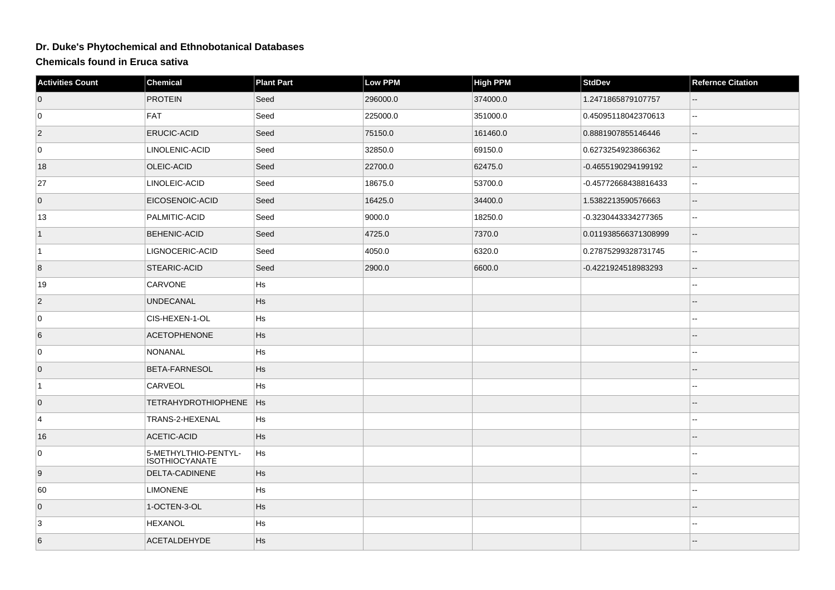## **Dr. Duke's Phytochemical and Ethnobotanical Databases**

**Chemicals found in Eruca sativa**

| <b>Activities Count</b> | Chemical                                      | <b>Plant Part</b> | Low PPM  | <b>High PPM</b> | <b>StdDev</b>        | <b>Refernce Citation</b>                      |
|-------------------------|-----------------------------------------------|-------------------|----------|-----------------|----------------------|-----------------------------------------------|
| $\overline{0}$          | <b>PROTEIN</b>                                | Seed              | 296000.0 | 374000.0        | 1.2471865879107757   |                                               |
| 0                       | FAT                                           | Seed              | 225000.0 | 351000.0        | 0.45095118042370613  | $\sim$                                        |
| $ 2\rangle$             | ERUCIC-ACID                                   | Seed              | 75150.0  | 161460.0        | 0.8881907855146446   | $\qquad \qquad -$                             |
| $\overline{0}$          | LINOLENIC-ACID                                | Seed              | 32850.0  | 69150.0         | 0.6273254923866362   | Ξ.                                            |
| 18                      | OLEIC-ACID                                    | Seed              | 22700.0  | 62475.0         | -0.4655190294199192  | $\overline{\phantom{a}}$                      |
| 27                      | LINOLEIC-ACID                                 | Seed              | 18675.0  | 53700.0         | -0.45772668438816433 | $\overline{a}$                                |
| $\overline{0}$          | EICOSENOIC-ACID                               | Seed              | 16425.0  | 34400.0         | 1.5382213590576663   | $\qquad \qquad -$                             |
| 13                      | PALMITIC-ACID                                 | Seed              | 9000.0   | 18250.0         | -0.3230443334277365  | $\mathord{\hspace{1pt}\text{--}\hspace{1pt}}$ |
| $\vert$ 1               | <b>BEHENIC-ACID</b>                           | Seed              | 4725.0   | 7370.0          | 0.011938566371308999 | $-$                                           |
| $\vert$ 1               | LIGNOCERIC-ACID                               | Seed              | 4050.0   | 6320.0          | 0.27875299328731745  | $\overline{\phantom{a}}$                      |
| 8                       | STEARIC-ACID                                  | Seed              | 2900.0   | 6600.0          | -0.4221924518983293  | $\qquad \qquad -$                             |
| 19                      | CARVONE                                       | Hs                |          |                 |                      |                                               |
| $\vert$ 2               | <b>UNDECANAL</b>                              | <b>Hs</b>         |          |                 |                      |                                               |
| $\overline{0}$          | CIS-HEXEN-1-OL                                | Hs                |          |                 |                      |                                               |
| 6                       | <b>ACETOPHENONE</b>                           | <b>Hs</b>         |          |                 |                      |                                               |
| $\overline{0}$          | NONANAL                                       | Hs                |          |                 |                      | Ξ.                                            |
| 0                       | BETA-FARNESOL                                 | Hs                |          |                 |                      | --                                            |
| $\vert$ 1               | CARVEOL                                       | Hs                |          |                 |                      |                                               |
| $\overline{0}$          | <b>TETRAHYDROTHIOPHENE</b>                    | Hs                |          |                 |                      |                                               |
| 4                       | TRANS-2-HEXENAL                               | Hs                |          |                 |                      | $\overline{a}$                                |
| 16                      | ACETIC-ACID                                   | Hs                |          |                 |                      | --                                            |
| $\overline{0}$          | 5-METHYLTHIO-PENTYL-<br><b>ISOTHIOCYANATE</b> | Hs                |          |                 |                      | $\overline{\phantom{a}}$                      |
| 9                       | DELTA-CADINENE                                | Hs                |          |                 |                      | $\qquad \qquad -$                             |
| 60                      | <b>LIMONENE</b>                               | Hs                |          |                 |                      | --                                            |
| $\overline{0}$          | 1-OCTEN-3-OL                                  | Hs                |          |                 |                      | $-$                                           |
| 3                       | <b>HEXANOL</b>                                | Hs                |          |                 |                      | $\sim$                                        |
| $6\phantom{.}6$         | <b>ACETALDEHYDE</b>                           | Hs                |          |                 |                      |                                               |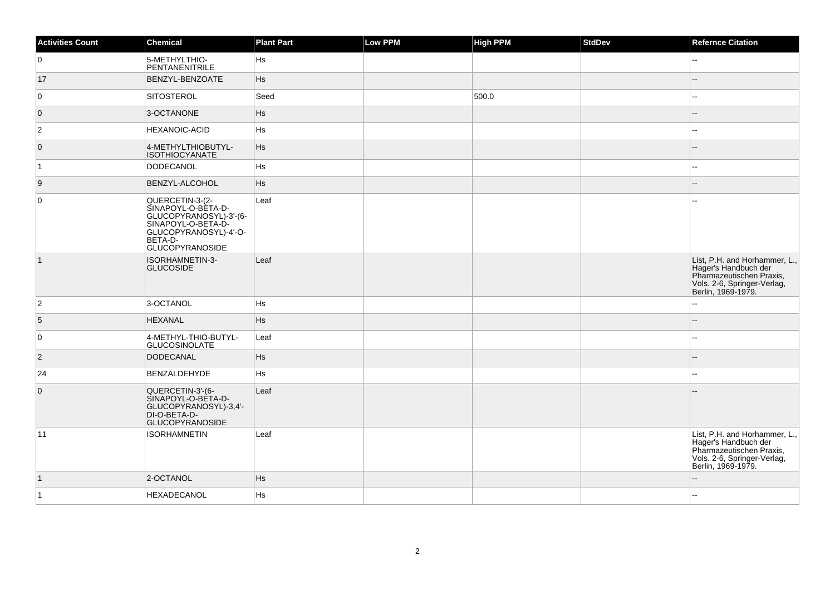| <b>Activities Count</b> | Chemical                                                                                                                                            | <b>Plant Part</b> | Low PPM | <b>High PPM</b> | StdDev | <b>Refernce Citation</b>                                                                                                               |
|-------------------------|-----------------------------------------------------------------------------------------------------------------------------------------------------|-------------------|---------|-----------------|--------|----------------------------------------------------------------------------------------------------------------------------------------|
| 0                       | 5-METHYLTHIO-<br>PENTANENITRILE                                                                                                                     | Hs                |         |                 |        | --                                                                                                                                     |
| 17                      | BENZYL-BENZOATE                                                                                                                                     | <b>Hs</b>         |         |                 |        |                                                                                                                                        |
| $\mathbf 0$             | SITOSTEROL                                                                                                                                          | Seed              |         | 500.0           |        |                                                                                                                                        |
| $\overline{0}$          | 3-OCTANONE                                                                                                                                          | <b>Hs</b>         |         |                 |        |                                                                                                                                        |
| $\overline{2}$          | <b>HEXANOIC-ACID</b>                                                                                                                                | Hs                |         |                 |        |                                                                                                                                        |
| $\overline{0}$          | 4-METHYLTHIOBUTYL-<br><b>ISOTHIOCYANATE</b>                                                                                                         | <b>Hs</b>         |         |                 |        |                                                                                                                                        |
| $\vert$ 1               | DODECANOL                                                                                                                                           | Hs                |         |                 |        |                                                                                                                                        |
| 9                       | <b>BENZYL-ALCOHOL</b>                                                                                                                               | <b>Hs</b>         |         |                 |        |                                                                                                                                        |
| $\mathbf 0$             | QUERCETIN-3-(2-<br>SINAPOYL-O-BÈTA-D-<br>GLUCOPYRANOSYL)-3'-(6-<br>SINAPOYL-O-BETA-D-<br>GLUCOPYRANOSYL)-4'-O-<br>BETA-D-<br><b>GLUCOPYRANOSIDE</b> | Leaf              |         |                 |        |                                                                                                                                        |
| $\vert$ 1               | ISORHAMNETIN-3-<br><b>GLUCOSIDE</b>                                                                                                                 | Leaf              |         |                 |        | List, P.H. and Horhammer, L.,<br>Hager's Handbuch der<br>Pharmazeutischen Praxis,<br>Vols. 2-6, Springer-Verlag,<br>Berlin, 1969-1979. |
| $\overline{2}$          | 3-OCTANOL                                                                                                                                           | Hs                |         |                 |        |                                                                                                                                        |
| 5                       | <b>HEXANAL</b>                                                                                                                                      | <b>Hs</b>         |         |                 |        | $-$                                                                                                                                    |
| 0                       | 4-METHYL-THIO-BUTYL-<br><b>GLUCOSINOLATE</b>                                                                                                        | Leaf              |         |                 |        | --                                                                                                                                     |
| $\overline{2}$          | DODECANAL                                                                                                                                           | Hs                |         |                 |        |                                                                                                                                        |
| 24                      | BENZALDEHYDE                                                                                                                                        | Hs                |         |                 |        | --                                                                                                                                     |
| $\mathbf 0$             | QUERCETIN-3'-(6-<br>SINAPOYL-O-BÈTA-D-<br>GLUCOPYRANOSYL)-3,4'-<br>DI-O-BETA-D-<br><b>GLUCOPYRANOSIDE</b>                                           | Leaf              |         |                 |        |                                                                                                                                        |
| 11                      | <b>ISORHAMNETIN</b>                                                                                                                                 | Leaf              |         |                 |        | List, P.H. and Horhammer, L.,<br>Hager's Handbuch der<br>Pharmazeutischen Praxis,<br>Vols. 2-6, Springer-Verlag,<br>Berlin, 1969-1979. |
| $\vert$ 1               | 2-OCTANOL                                                                                                                                           | <b>Hs</b>         |         |                 |        |                                                                                                                                        |
| $\vert$ 1               | HEXADECANOL                                                                                                                                         | Hs                |         |                 |        |                                                                                                                                        |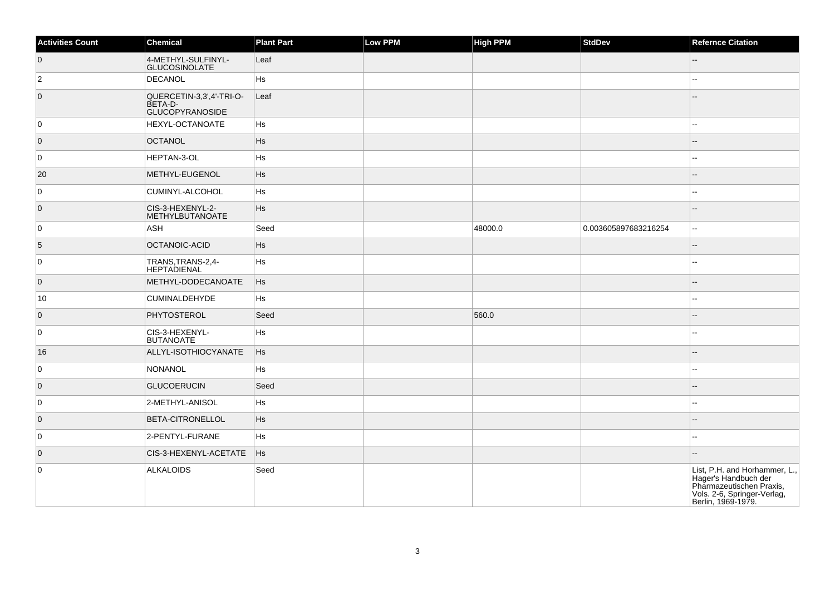| <b>Activities Count</b> | Chemical                                                             | <b>Plant Part</b> | Low PPM | <b>High PPM</b> | <b>StdDev</b>        | <b>Refernce Citation</b>                                                                                                               |
|-------------------------|----------------------------------------------------------------------|-------------------|---------|-----------------|----------------------|----------------------------------------------------------------------------------------------------------------------------------------|
| $\overline{0}$          | 4-METHYL-SULFINYL-<br><b>GLUCOSINOLATE</b>                           | Leaf              |         |                 |                      |                                                                                                                                        |
| $\overline{c}$          | DECANOL                                                              | Hs                |         |                 |                      |                                                                                                                                        |
| $\overline{0}$          | QUERCETIN-3,3',4'-TRI-O-<br><b>BETA-D-</b><br><b>GLUCOPYRANOSIDE</b> | Leaf              |         |                 |                      |                                                                                                                                        |
| $\overline{0}$          | <b>HEXYL-OCTANOATE</b>                                               | Hs                |         |                 |                      |                                                                                                                                        |
| $\overline{0}$          | <b>OCTANOL</b>                                                       | <b>Hs</b>         |         |                 |                      |                                                                                                                                        |
| $\mathbf 0$             | <b>HEPTAN-3-OL</b>                                                   | Hs                |         |                 |                      |                                                                                                                                        |
| 20                      | METHYL-EUGENOL                                                       | <b>Hs</b>         |         |                 |                      |                                                                                                                                        |
| 0                       | CUMINYL-ALCOHOL                                                      | Hs                |         |                 |                      |                                                                                                                                        |
| $\overline{0}$          | CIS-3-HEXENYL-2-<br>METHYLBUTANOATE                                  | Hs                |         |                 |                      |                                                                                                                                        |
| $\overline{0}$          | ASH                                                                  | Seed              |         | 48000.0         | 0.003605897683216254 | $\overline{a}$                                                                                                                         |
| 5                       | OCTANOIC-ACID                                                        | Hs                |         |                 |                      |                                                                                                                                        |
| 0                       | TRANS, TRANS-2, 4-<br><b>HEPTADIENAL</b>                             | Hs                |         |                 |                      |                                                                                                                                        |
| $\overline{0}$          | METHYL-DODECANOATE                                                   | Hs                |         |                 |                      |                                                                                                                                        |
| 10                      | <b>CUMINALDEHYDE</b>                                                 | Hs                |         |                 |                      |                                                                                                                                        |
| $\overline{0}$          | PHYTOSTEROL                                                          | Seed              |         | 560.0           |                      |                                                                                                                                        |
| $\overline{0}$          | CIS-3-HEXENYL-<br><b>BUTANOATE</b>                                   | Hs                |         |                 |                      |                                                                                                                                        |
| 16                      | ALLYL-ISOTHIOCYANATE                                                 | Hs                |         |                 |                      |                                                                                                                                        |
| $\pmb{0}$               | NONANOL                                                              | Hs                |         |                 |                      |                                                                                                                                        |
| $\overline{0}$          | <b>GLUCOERUCIN</b>                                                   | Seed              |         |                 |                      |                                                                                                                                        |
| $\overline{0}$          | 2-METHYL-ANISOL                                                      | Hs                |         |                 |                      |                                                                                                                                        |
| $\overline{0}$          | <b>BETA-CITRONELLOL</b>                                              | Hs                |         |                 |                      |                                                                                                                                        |
| $\overline{0}$          | 2-PENTYL-FURANE                                                      | Hs                |         |                 |                      | ۵۵                                                                                                                                     |
| $\overline{0}$          | CIS-3-HEXENYL-ACETATE                                                | Hs                |         |                 |                      |                                                                                                                                        |
| 0                       | ALKALOIDS                                                            | Seed              |         |                 |                      | List, P.H. and Horhammer, L.,<br>Hager's Handbuch der<br>Pharmazeutischen Praxis,<br>Vols. 2-6, Springer-Verlag,<br>Berlin, 1969-1979. |